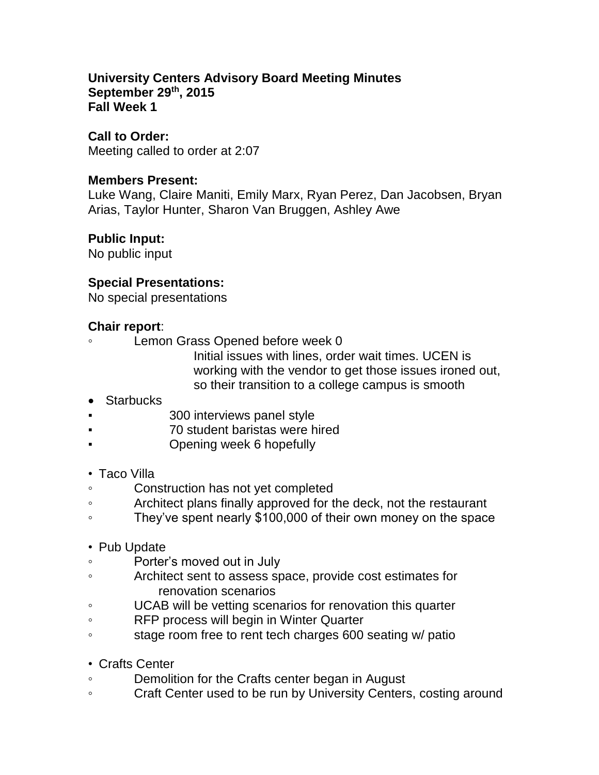### **University Centers Advisory Board Meeting Minutes September 29th, 2015 Fall Week 1**

#### **Call to Order:**

Meeting called to order at 2:07

#### **Members Present:**

Luke Wang, Claire Maniti, Emily Marx, Ryan Perez, Dan Jacobsen, Bryan Arias, Taylor Hunter, Sharon Van Bruggen, Ashley Awe

### **Public Input:**

No public input

### **Special Presentations:**

No special presentations

### **Chair report**:

- Lemon Grass Opened before week 0
	- Initial issues with lines, order wait times. UCEN is working with the vendor to get those issues ironed out, so their transition to a college campus is smooth
- Starbucks
- 300 interviews panel style
- 70 student baristas were hired
- Opening week 6 hopefully

### • Taco Villa

- Construction has not yet completed
- Architect plans finally approved for the deck, not the restaurant
- They've spent nearly \$100,000 of their own money on the space
- Pub Update
- Porter's moved out in July
- Architect sent to assess space, provide cost estimates for renovation scenarios
- UCAB will be vetting scenarios for renovation this quarter
- RFP process will begin in Winter Quarter
- stage room free to rent tech charges 600 seating w/ patio
- Crafts Center
- Demolition for the Crafts center began in August
- Craft Center used to be run by University Centers, costing around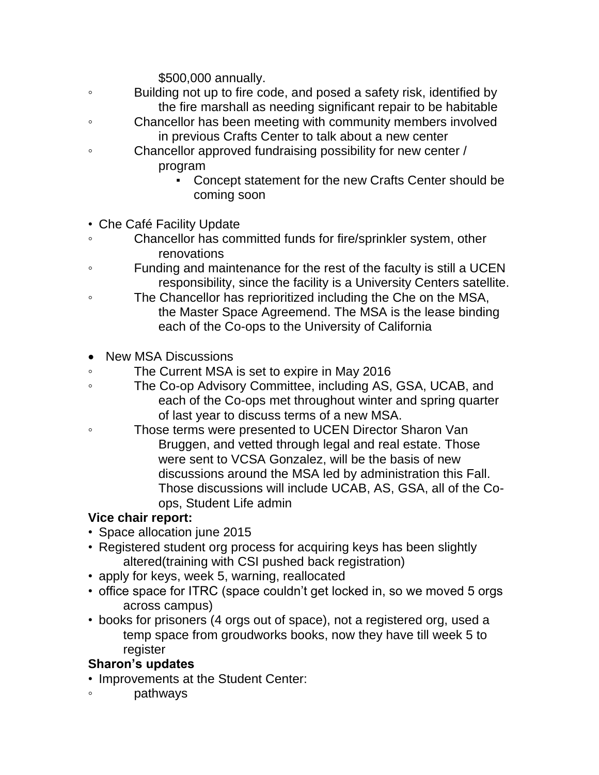\$500,000 annually.

- Building not up to fire code, and posed a safety risk, identified by the fire marshall as needing significant repair to be habitable
- Chancellor has been meeting with community members involved in previous Crafts Center to talk about a new center
- Chancellor approved fundraising possibility for new center / program
	- Concept statement for the new Crafts Center should be coming soon
- Che Café Facility Update
- Chancellor has committed funds for fire/sprinkler system, other renovations
- Funding and maintenance for the rest of the faculty is still a UCEN responsibility, since the facility is a University Centers satellite.
- The Chancellor has reprioritized including the Che on the MSA, the Master Space Agreemend. The MSA is the lease binding each of the Co-ops to the University of California
- New MSA Discussions
- The Current MSA is set to expire in May 2016
- The Co-op Advisory Committee, including AS, GSA, UCAB, and each of the Co-ops met throughout winter and spring quarter of last year to discuss terms of a new MSA.
- Those terms were presented to UCEN Director Sharon Van Bruggen, and vetted through legal and real estate. Those were sent to VCSA Gonzalez, will be the basis of new discussions around the MSA led by administration this Fall. Those discussions will include UCAB, AS, GSA, all of the Coops, Student Life admin

# **Vice chair report:**

- Space allocation june 2015
- Registered student org process for acquiring keys has been slightly altered(training with CSI pushed back registration)
- apply for keys, week 5, warning, reallocated
- office space for ITRC (space couldn't get locked in, so we moved 5 orgs across campus)
- books for prisoners (4 orgs out of space), not a registered org, used a temp space from groudworks books, now they have till week 5 to register

# **Sharon's updates**

- Improvements at the Student Center:
- pathways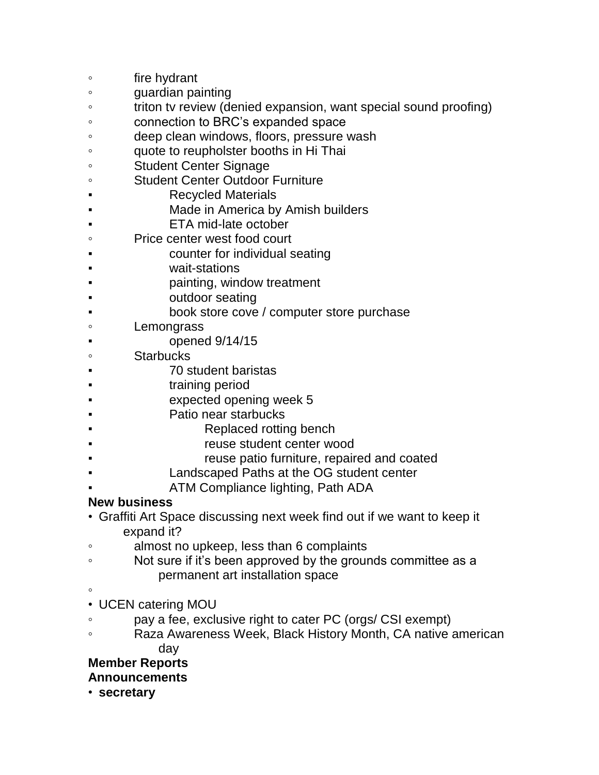- fire hydrant
- guardian painting
- triton tv review (denied expansion, want special sound proofing)
- connection to BRC's expanded space
- deep clean windows, floors, pressure wash
- quote to reupholster booths in Hi Thai
- Student Center Signage
- Student Center Outdoor Furniture
- **Recycled Materials**
- Made in America by Amish builders
- **ETA mid-late october**
- Price center west food court
- counter for individual seating
- wait-stations
- painting, window treatment
- outdoor seating
- book store cove / computer store purchase
- Lemongrass
	- opened  $9/14/15$
- Starbucks
- **70 student baristas**
- training period
- expected opening week 5
- Patio near starbucks
- Replaced rotting bench
- reuse student center wood
- reuse patio furniture, repaired and coated
- Landscaped Paths at the OG student center
- ATM Compliance lighting, Path ADA

# **New business**

- Graffiti Art Space discussing next week find out if we want to keep it expand it?
- almost no upkeep, less than 6 complaints
- Not sure if it's been approved by the grounds committee as a permanent art installation space
- ◦
- UCEN catering MOU
- pay a fee, exclusive right to cater PC (orgs/ CSI exempt)
- Raza Awareness Week, Black History Month, CA native american day

# **Member Reports**

- **Announcements**
- **secretary**